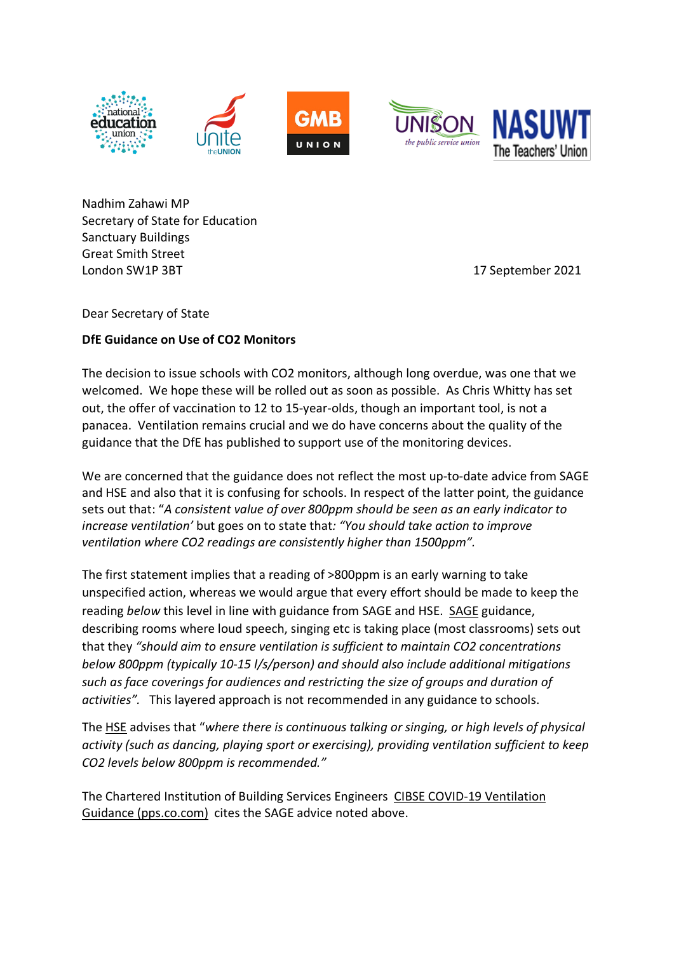







Nadhim Zahawi MP Secretary of State for Education Sanctuary Buildings Great Smith Street London SW1P 3BT 17 September 2021

Dear Secretary of State

## **DfE Guidance on Use of CO2 Monitors**

The decision to issue schools with CO2 monitors, although long overdue, was one that we welcomed. We hope these will be rolled out as soon as possible. As Chris Whitty has set out, the offer of vaccination to 12 to 15-year-olds, though an important tool, is not a panacea. Ventilation remains crucial and we do have concerns about the quality of the guidance that the DfE has published to support use of the monitoring devices.

We are concerned that the guidance does not reflect the most up-to-date advice from SAGE and HSE and also that it is confusing for schools. In respect of the latter point, the guidance sets out that: "*A consistent value of over 800ppm should be seen as an early indicator to increase ventilation'* but goes on to state that*: "You should take action to improve ventilation where CO2 readings are consistently higher than 1500ppm".* 

The first statement implies that a reading of >800ppm is an early warning to take unspecified action, whereas we would argue that every effort should be made to keep the reading *below* this level in line with guidance from SAGE and HSE. SAGE guidance, describing rooms where loud speech, singing etc is taking place (most classrooms) sets out that they *"should aim to ensure ventilation is sufficient to maintain CO2 concentrations below 800ppm (typically 10-15 l/s/person) and should also include additional mitigations such as face coverings for audiences and restricting the size of groups and duration of activities".* This layered approach is not recommended in any guidance to schools.

The HSE advises that "*where there is continuous talking or singing, or high levels of physical activity (such as dancing, playing sport or exercising), providing ventilation sufficient to keep CO2 levels below 800ppm is recommended."*

The Chartered Institution of Building Services Engineers CIBSE COVID-19 Ventilation Guidance (pps.co.com) cites the SAGE advice noted above.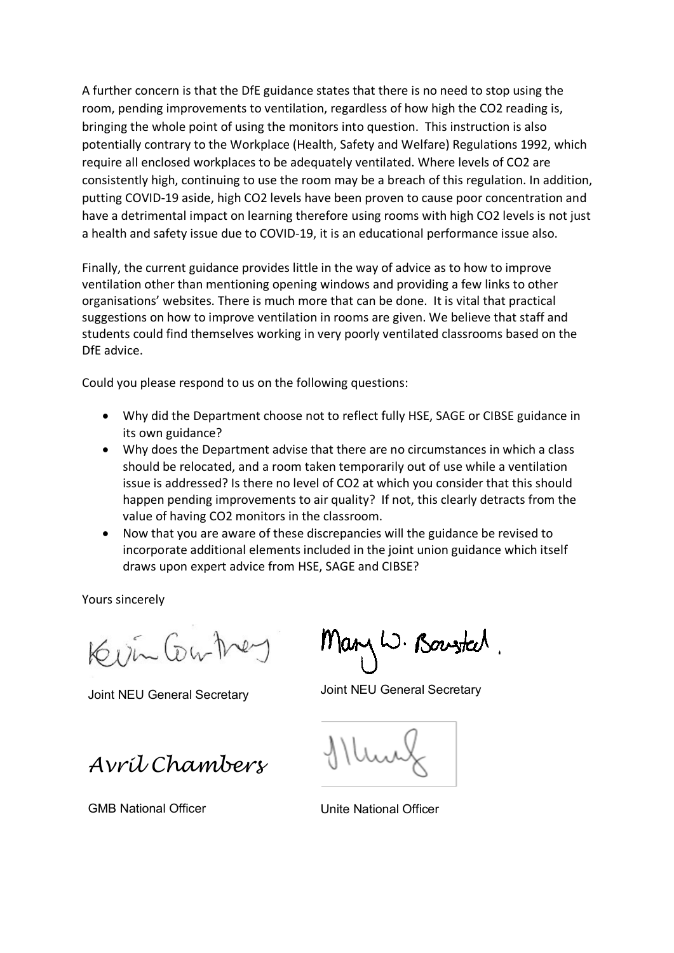A further concern is that the DfE guidance states that there is no need to stop using the room, pending improvements to ventilation, regardless of how high the CO2 reading is, bringing the whole point of using the monitors into question. This instruction is also potentially contrary to the Workplace (Health, Safety and Welfare) Regulations 1992, which require all enclosed workplaces to be adequately ventilated. Where levels of CO2 are consistently high, continuing to use the room may be a breach of this regulation. In addition, putting COVID-19 aside, high CO2 levels have been proven to cause poor concentration and have a detrimental impact on learning therefore using rooms with high CO2 levels is not just a health and safety issue due to COVID-19, it is an educational performance issue also.

Finally, the current guidance provides little in the way of advice as to how to improve ventilation other than mentioning opening windows and providing a few links to other organisations' websites. There is much more that can be done. It is vital that practical suggestions on how to improve ventilation in rooms are given. We believe that staff and students could find themselves working in very poorly ventilated classrooms based on the DfE advice.

Could you please respond to us on the following questions:

- Why did the Department choose not to reflect fully HSE, SAGE or CIBSE guidance in its own guidance?
- Why does the Department advise that there are no circumstances in which a class should be relocated, and a room taken temporarily out of use while a ventilation issue is addressed? Is there no level of CO2 at which you consider that this should happen pending improvements to air quality? If not, this clearly detracts from the value of having CO2 monitors in the classroom.
- Now that you are aware of these discrepancies will the guidance be revised to incorporate additional elements included in the joint union guidance which itself draws upon expert advice from HSE, SAGE and CIBSE?

Yours sincerely

Kisin Contrey

*Avril Chambers*

Mary W. Bowsted.

Joint NEU General Secretary Joint NEU General Secretary

GMB National Officer **CENTER STATE Unite National Officer**